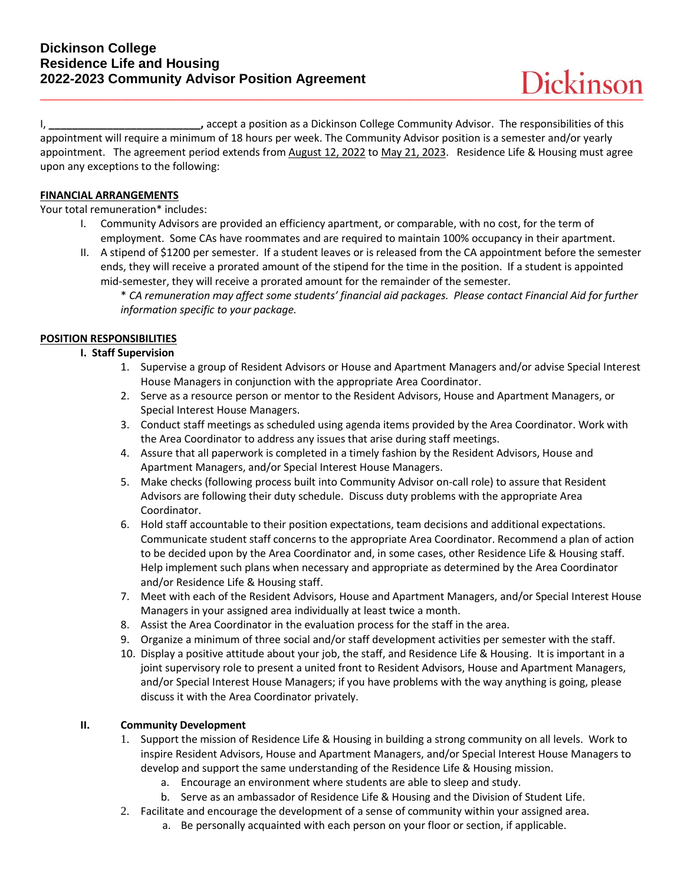I, **\_\_\_\_\_\_\_\_\_\_\_\_\_\_\_\_\_\_\_\_\_\_\_\_\_\_,** accept a position as a Dickinson College Community Advisor. The responsibilities of this appointment will require a minimum of 18 hours per week. The Community Advisor position is a semester and/or yearly appointment. The agreement period extends from August 12, 2022 to May 21, 2023. Residence Life & Housing must agree upon any exceptions to the following:

### **FINANCIAL ARRANGEMENTS**

Your total remuneration\* includes:

- I. Community Advisors are provided an efficiency apartment, or comparable, with no cost, for the term of employment. Some CAs have roommates and are required to maintain 100% occupancy in their apartment.
- II. A stipend of \$1200 per semester. If a student leaves or is released from the CA appointment before the semester ends, they will receive a prorated amount of the stipend for the time in the position. If a student is appointed mid-semester, they will receive a prorated amount for the remainder of the semester.
	- \* *CA remuneration may affect some students' financial aid packages. Please contact Financial Aid for further information specific to your package.*

# **POSITION RESPONSIBILITIES**

### **I. Staff Supervision**

- 1. Supervise a group of Resident Advisors or House and Apartment Managers and/or advise Special Interest House Managers in conjunction with the appropriate Area Coordinator.
- 2. Serve as a resource person or mentor to the Resident Advisors, House and Apartment Managers, or Special Interest House Managers.
- 3. Conduct staff meetings as scheduled using agenda items provided by the Area Coordinator. Work with the Area Coordinator to address any issues that arise during staff meetings.
- 4. Assure that all paperwork is completed in a timely fashion by the Resident Advisors, House and Apartment Managers, and/or Special Interest House Managers.
- 5. Make checks (following process built into Community Advisor on-call role) to assure that Resident Advisors are following their duty schedule. Discuss duty problems with the appropriate Area Coordinator.
- 6. Hold staff accountable to their position expectations, team decisions and additional expectations. Communicate student staff concerns to the appropriate Area Coordinator. Recommend a plan of action to be decided upon by the Area Coordinator and, in some cases, other Residence Life & Housing staff. Help implement such plans when necessary and appropriate as determined by the Area Coordinator and/or Residence Life & Housing staff.
- 7. Meet with each of the Resident Advisors, House and Apartment Managers, and/or Special Interest House Managers in your assigned area individually at least twice a month.
- 8. Assist the Area Coordinator in the evaluation process for the staff in the area.
- 9. Organize a minimum of three social and/or staff development activities per semester with the staff.
- 10. Display a positive attitude about your job, the staff, and Residence Life & Housing. It is important in a joint supervisory role to present a united front to Resident Advisors, House and Apartment Managers, and/or Special Interest House Managers; if you have problems with the way anything is going, please discuss it with the Area Coordinator privately.

# **II. Community Development**

- 1. Support the mission of Residence Life & Housing in building a strong community on all levels. Work to inspire Resident Advisors, House and Apartment Managers, and/or Special Interest House Managers to develop and support the same understanding of the Residence Life & Housing mission.
	- a. Encourage an environment where students are able to sleep and study.
	- b. Serve as an ambassador of Residence Life & Housing and the Division of Student Life.
- 2. Facilitate and encourage the development of a sense of community within your assigned area.
	- a. Be personally acquainted with each person on your floor or section, if applicable.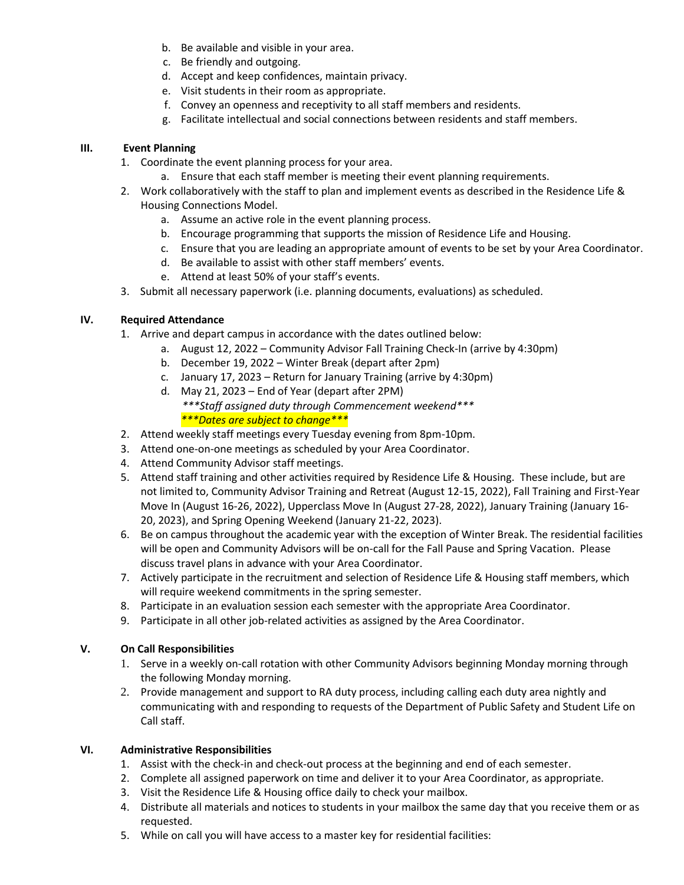- b. Be available and visible in your area.
- c. Be friendly and outgoing.
- d. Accept and keep confidences, maintain privacy.
- e. Visit students in their room as appropriate.
- f. Convey an openness and receptivity to all staff members and residents.
- g. Facilitate intellectual and social connections between residents and staff members.

### **III. Event Planning**

- 1. Coordinate the event planning process for your area.
	- a. Ensure that each staff member is meeting their event planning requirements.
- 2. Work collaboratively with the staff to plan and implement events as described in the Residence Life & Housing Connections Model.
	- a. Assume an active role in the event planning process.
	- b. Encourage programming that supports the mission of Residence Life and Housing.
	- c. Ensure that you are leading an appropriate amount of events to be set by your Area Coordinator.
	- d. Be available to assist with other staff members' events.
	- e. Attend at least 50% of your staff's events.
- 3. Submit all necessary paperwork (i.e. planning documents, evaluations) as scheduled.

# **IV. Required Attendance**

- 1. Arrive and depart campus in accordance with the dates outlined below:
	- a. August 12, 2022 Community Advisor Fall Training Check-In (arrive by 4:30pm)
		- b. December 19, 2022 Winter Break (depart after 2pm)
		- c. January 17, 2023 Return for January Training (arrive by 4:30pm)
		- d. May 21, 2023 End of Year (depart after 2PM) *\*\*\*Staff assigned duty through Commencement weekend\*\*\* \*\*\*Dates are subject to change\*\*\**
- 2. Attend weekly staff meetings every Tuesday evening from 8pm-10pm.
- 3. Attend one-on-one meetings as scheduled by your Area Coordinator.
- 4. Attend Community Advisor staff meetings.
- 5. Attend staff training and other activities required by Residence Life & Housing. These include, but are not limited to, Community Advisor Training and Retreat (August 12-15, 2022), Fall Training and First-Year Move In (August 16-26, 2022), Upperclass Move In (August 27-28, 2022), January Training (January 16- 20, 2023), and Spring Opening Weekend (January 21-22, 2023).
- 6. Be on campus throughout the academic year with the exception of Winter Break. The residential facilities will be open and Community Advisors will be on-call for the Fall Pause and Spring Vacation. Please discuss travel plans in advance with your Area Coordinator.
- 7. Actively participate in the recruitment and selection of Residence Life & Housing staff members, which will require weekend commitments in the spring semester.
- 8. Participate in an evaluation session each semester with the appropriate Area Coordinator.
- 9. Participate in all other job-related activities as assigned by the Area Coordinator.

#### **V. On Call Responsibilities**

- 1. Serve in a weekly on-call rotation with other Community Advisors beginning Monday morning through the following Monday morning.
- 2. Provide management and support to RA duty process, including calling each duty area nightly and communicating with and responding to requests of the Department of Public Safety and Student Life on Call staff.

#### **VI. Administrative Responsibilities**

- 1. Assist with the check-in and check-out process at the beginning and end of each semester.
- 2. Complete all assigned paperwork on time and deliver it to your Area Coordinator, as appropriate.
- 3. Visit the Residence Life & Housing office daily to check your mailbox.
- 4. Distribute all materials and notices to students in your mailbox the same day that you receive them or as requested.
- 5. While on call you will have access to a master key for residential facilities: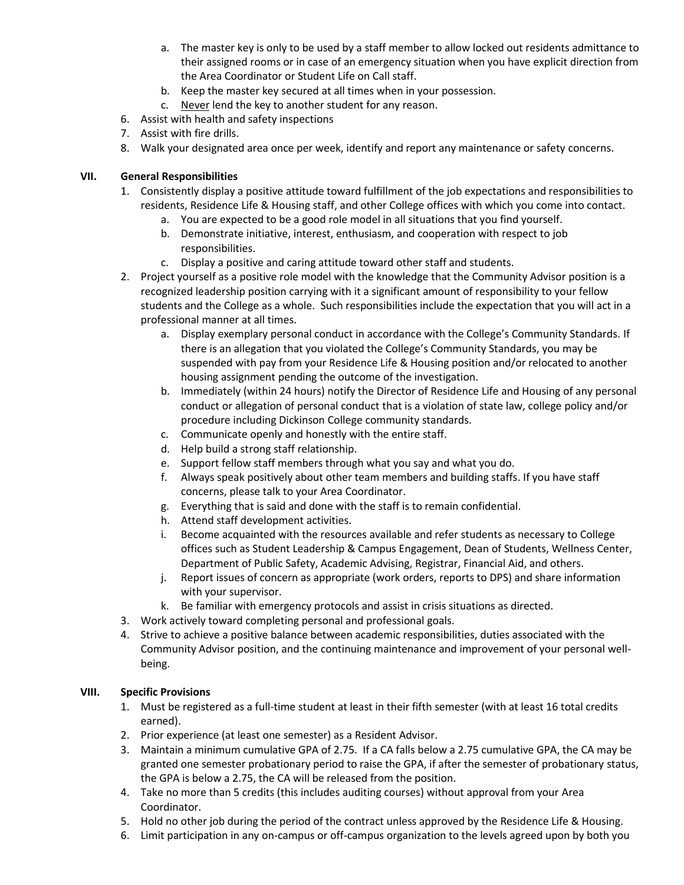- a. The master key is only to be used by a staff member to allow locked out residents admittance to their assigned rooms or in case of an emergency situation when you have explicit direction from the Area Coordinator or Student Life on Call staff.
- b. Keep the master key secured at all times when in your possession.
- c. Never lend the key to another student for any reason.
- 6. Assist with health and safety inspections
- 7. Assist with fire drills.
- 8. Walk your designated area once per week, identify and report any maintenance or safety concerns.

# **VII. General Responsibilities**

- 1. Consistently display a positive attitude toward fulfillment of the job expectations and responsibilities to residents, Residence Life & Housing staff, and other College offices with which you come into contact.
	- a. You are expected to be a good role model in all situations that you find yourself.
	- b. Demonstrate initiative, interest, enthusiasm, and cooperation with respect to job responsibilities.
	- c. Display a positive and caring attitude toward other staff and students.
- 2. Project yourself as a positive role model with the knowledge that the Community Advisor position is a recognized leadership position carrying with it a significant amount of responsibility to your fellow students and the College as a whole. Such responsibilities include the expectation that you will act in a professional manner at all times.
	- a. Display exemplary personal conduct in accordance with the College's Community Standards. If there is an allegation that you violated the College's Community Standards, you may be suspended with pay from your Residence Life & Housing position and/or relocated to another housing assignment pending the outcome of the investigation.
	- b. Immediately (within 24 hours) notify the Director of Residence Life and Housing of any personal conduct or allegation of personal conduct that is a violation of state law, college policy and/or procedure including Dickinson College community standards.
	- c. Communicate openly and honestly with the entire staff.
	- d. Help build a strong staff relationship.
	- e. Support fellow staff members through what you say and what you do.
	- f. Always speak positively about other team members and building staffs. If you have staff concerns, please talk to your Area Coordinator.
	- g. Everything that is said and done with the staff is to remain confidential.
	- h. Attend staff development activities.
	- i. Become acquainted with the resources available and refer students as necessary to College offices such as Student Leadership & Campus Engagement, Dean of Students, Wellness Center, Department of Public Safety, Academic Advising, Registrar, Financial Aid, and others.
	- j. Report issues of concern as appropriate (work orders, reports to DPS) and share information with your supervisor.
	- k. Be familiar with emergency protocols and assist in crisis situations as directed.
- 3. Work actively toward completing personal and professional goals.
- 4. Strive to achieve a positive balance between academic responsibilities, duties associated with the Community Advisor position, and the continuing maintenance and improvement of your personal wellbeing.

# **VIII. Specific Provisions**

- 1. Must be registered as a full-time student at least in their fifth semester (with at least 16 total credits earned).
- 2. Prior experience (at least one semester) as a Resident Advisor.
- 3. Maintain a minimum cumulative GPA of 2.75. If a CA falls below a 2.75 cumulative GPA, the CA may be granted one semester probationary period to raise the GPA, if after the semester of probationary status, the GPA is below a 2.75, the CA will be released from the position.
- 4. Take no more than 5 credits (this includes auditing courses) without approval from your Area Coordinator.
- 5. Hold no other job during the period of the contract unless approved by the Residence Life & Housing.
- 6. Limit participation in any on-campus or off-campus organization to the levels agreed upon by both you